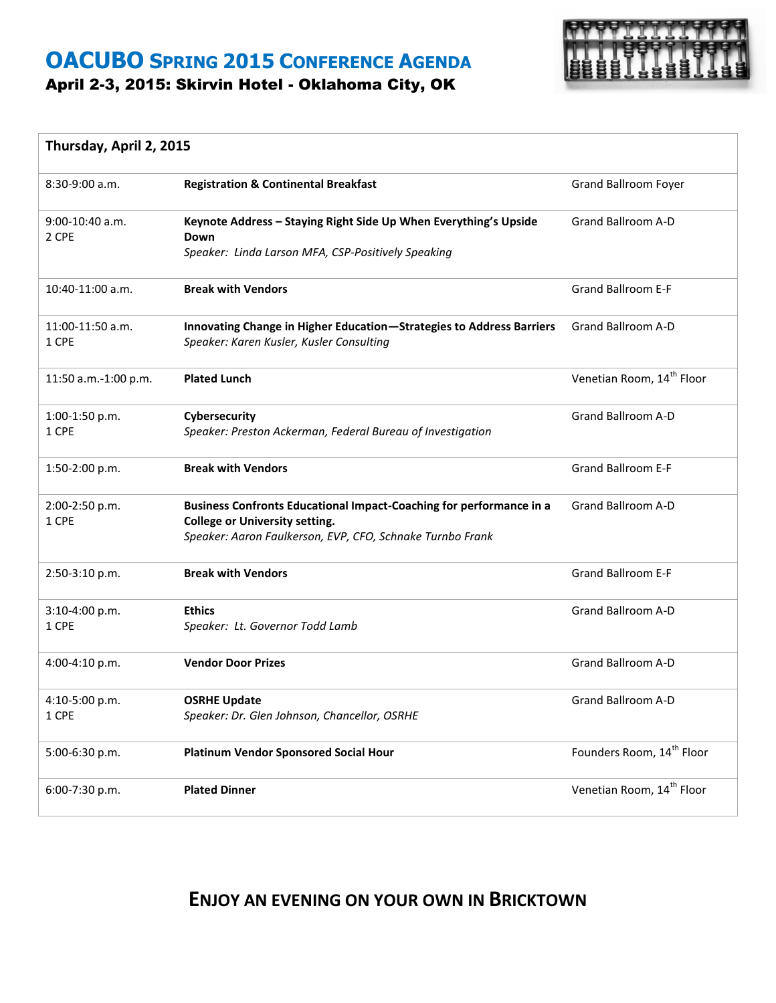### **OACUBO SPRING 2015 CONFERENCE AGENDA** April 2-3, 2015: Skirvin Hotel - Oklahoma City, OK



#### **Thursday, April 2, 2015**

| $8:30-9:00$ a.m.           | <b>Registration &amp; Continental Breakfast</b>                                                                                                                           | <b>Grand Ballroom Foyer</b>           |
|----------------------------|---------------------------------------------------------------------------------------------------------------------------------------------------------------------------|---------------------------------------|
| $9:00-10:40$ a.m.<br>2 CPE | Keynote Address - Staying Right Side Up When Everything's Upside<br>Down<br>Speaker: Linda Larson MFA, CSP-Positively Speaking                                            | <b>Grand Ballroom A-D</b>             |
| 10:40-11:00 a.m.           | <b>Break with Vendors</b>                                                                                                                                                 | <b>Grand Ballroom E-F</b>             |
| 11:00-11:50 a.m.<br>1 CPE  | Innovating Change in Higher Education-Strategies to Address Barriers<br>Speaker: Karen Kusler, Kusler Consulting                                                          | Grand Ballroom A-D                    |
| 11:50 a.m.-1:00 p.m.       | <b>Plated Lunch</b>                                                                                                                                                       | Venetian Room, 14 <sup>th</sup> Floor |
| 1:00-1:50 p.m.<br>1 CPE    | Cybersecurity<br>Speaker: Preston Ackerman, Federal Bureau of Investigation                                                                                               | <b>Grand Ballroom A-D</b>             |
| 1:50-2:00 p.m.             | <b>Break with Vendors</b>                                                                                                                                                 | <b>Grand Ballroom E-F</b>             |
| 2:00-2:50 p.m.<br>1 CPE    | Business Confronts Educational Impact-Coaching for performance in a<br><b>College or University setting.</b><br>Speaker: Aaron Faulkerson, EVP, CFO, Schnake Turnbo Frank | <b>Grand Ballroom A-D</b>             |
| 2:50-3:10 p.m.             | <b>Break with Vendors</b>                                                                                                                                                 | <b>Grand Ballroom E-F</b>             |
| 3:10-4:00 p.m.<br>1 CPE    | <b>Ethics</b><br>Speaker: Lt. Governor Todd Lamb                                                                                                                          | Grand Ballroom A-D                    |
| 4:00-4:10 p.m.             | <b>Vendor Door Prizes</b>                                                                                                                                                 | <b>Grand Ballroom A-D</b>             |
| 4:10-5:00 p.m.<br>1 CPE    | <b>OSRHE Update</b><br>Speaker: Dr. Glen Johnson, Chancellor, OSRHE                                                                                                       | Grand Ballroom A-D                    |
| 5:00-6:30 p.m.             | Platinum Vendor Sponsored Social Hour                                                                                                                                     | Founders Room, 14 <sup>th</sup> Floor |
| 6:00-7:30 p.m.             | <b>Plated Dinner</b>                                                                                                                                                      | Venetian Room, 14 <sup>th</sup> Floor |

#### **ENJOY AN EVENING ON YOUR OWN IN BRICKTOWN**